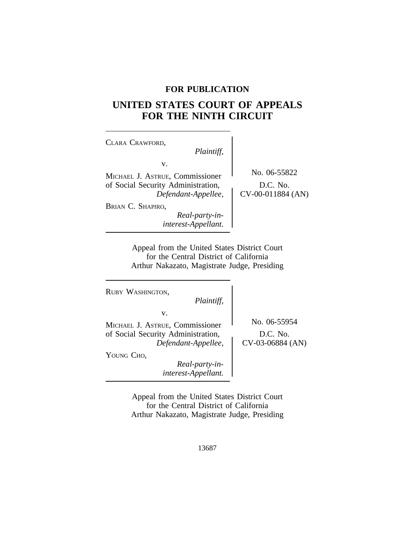### **FOR PUBLICATION**

# **UNITED STATES COURT OF APPEALS FOR THE NINTH CIRCUIT**

| CLARA CRAWFORD,<br>Plaintiff,                                                                      |                                                 |
|----------------------------------------------------------------------------------------------------|-------------------------------------------------|
| v.<br>MICHAEL J. ASTRUE, Commissioner<br>of Social Security Administration,<br>Defendant-Appellee, | No. 06-55822<br>D.C. No.<br>$CV-00-011884$ (AN) |
| BRIAN C. SHAPIRO,<br>Real-party-in-<br>interest-Appellant.                                         |                                                 |

Appeal from the United States District Court for the Central District of California Arthur Nakazato, Magistrate Judge, Presiding

<sup>R</sup>UBY WASHINGTON,

*Plaintiff,*

v.

MICHAEL J. ASTRUE, Commissioner No. 06-55954<br>of Social Security Administration, D.C. No. of Social Security Administration,<br> *Defendant-Appellee*, CV-03-06884 (AN)  $Define$ *dant-Appellee,* 

YOUNG CHO,

*Real-party-ininterest-Appellant.*

Appeal from the United States District Court for the Central District of California Arthur Nakazato, Magistrate Judge, Presiding

13687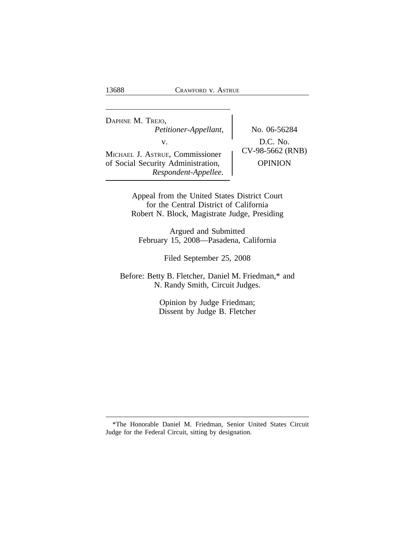<sup>D</sup>APHNE M. TREJO, *Petitioner-Appellant,* No. 06-56284 v.  $D.C. No.$ <br>  $UV-98-5662 (RNB)$ MICHAEL J. ASTRUE, Commissioner of Social Security Administration, <br>
OPINION *Respondent-Appellee.*

Appeal from the United States District Court for the Central District of California Robert N. Block, Magistrate Judge, Presiding

Argued and Submitted February 15, 2008—Pasadena, California

Filed September 25, 2008

Before: Betty B. Fletcher, Daniel M. Friedman,\* and N. Randy Smith, Circuit Judges.

> Opinion by Judge Friedman; Dissent by Judge B. Fletcher

<sup>\*</sup>The Honorable Daniel M. Friedman, Senior United States Circuit Judge for the Federal Circuit, sitting by designation.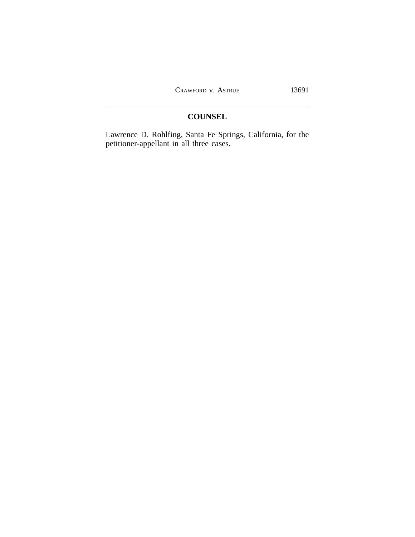## **COUNSEL**

Lawrence D. Rohlfing, Santa Fe Springs, California, for the petitioner-appellant in all three cases.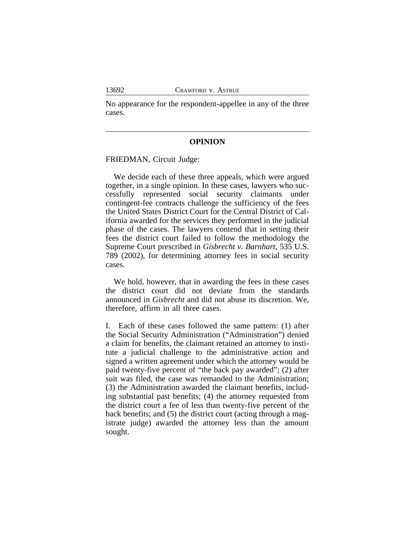No appearance for the respondent-appellee in any of the three cases.

#### **OPINION**

FRIEDMAN, Circuit Judge:

We decide each of these three appeals, which were argued together, in a single opinion. In these cases, lawyers who successfully represented social security claimants under contingent-fee contracts challenge the sufficiency of the fees the United States District Court for the Central District of California awarded for the services they performed in the judicial phase of the cases. The lawyers contend that in setting their fees the district court failed to follow the methodology the Supreme Court prescribed in *Gisbrecht v. Barnhart*, 535 U.S. 789 (2002), for determining attorney fees in social security cases.

We hold, however, that in awarding the fees in these cases the district court did not deviate from the standards announced in *Gisbrecht* and did not abuse its discretion. We, therefore, affirm in all three cases.

I. Each of these cases followed the same pattern: (1) after the Social Security Administration ("Administration") denied a claim for benefits, the claimant retained an attorney to institute a judicial challenge to the administrative action and signed a written agreement under which the attorney would be paid twenty-five percent of "the back pay awarded"; (2) after suit was filed, the case was remanded to the Administration; (3) the Administration awarded the claimant benefits, including substantial past benefits; (4) the attorney requested from the district court a fee of less than twenty-five percent of the back benefits; and (5) the district court (acting through a magistrate judge) awarded the attorney less than the amount sought.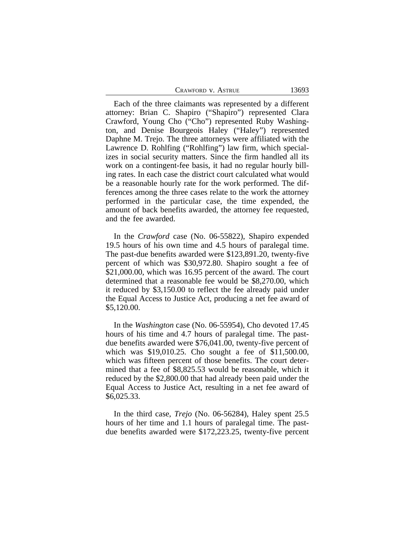| CRAWFORD V. ASTRUE | 13693 |
|--------------------|-------|
|--------------------|-------|

Each of the three claimants was represented by a different attorney: Brian C. Shapiro ("Shapiro") represented Clara Crawford, Young Cho ("Cho") represented Ruby Washington, and Denise Bourgeois Haley ("Haley") represented Daphne M. Trejo. The three attorneys were affiliated with the Lawrence D. Rohlfing ("Rohlfing") law firm, which specializes in social security matters. Since the firm handled all its work on a contingent-fee basis, it had no regular hourly billing rates. In each case the district court calculated what would be a reasonable hourly rate for the work performed. The differences among the three cases relate to the work the attorney performed in the particular case, the time expended, the amount of back benefits awarded, the attorney fee requested, and the fee awarded.

In the *Crawford* case (No. 06-55822), Shapiro expended 19.5 hours of his own time and 4.5 hours of paralegal time. The past-due benefits awarded were \$123,891.20, twenty-five percent of which was \$30,972.80. Shapiro sought a fee of \$21,000.00, which was 16.95 percent of the award. The court determined that a reasonable fee would be \$8,270.00, which it reduced by \$3,150.00 to reflect the fee already paid under the Equal Access to Justice Act, producing a net fee award of \$5,120.00.

In the *Washington* case (No. 06-55954), Cho devoted 17.45 hours of his time and 4.7 hours of paralegal time. The pastdue benefits awarded were \$76,041.00, twenty-five percent of which was \$19,010.25. Cho sought a fee of \$11,500.00, which was fifteen percent of those benefits. The court determined that a fee of \$8,825.53 would be reasonable, which it reduced by the \$2,800.00 that had already been paid under the Equal Access to Justice Act, resulting in a net fee award of \$6,025.33.

In the third case, *Trejo* (No. 06-56284), Haley spent 25.5 hours of her time and 1.1 hours of paralegal time. The pastdue benefits awarded were \$172,223.25, twenty-five percent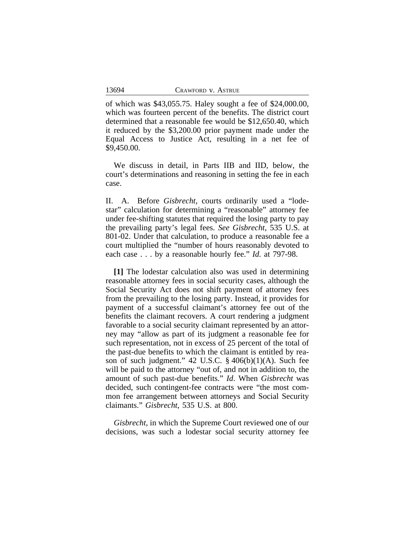of which was \$43,055.75. Haley sought a fee of \$24,000.00, which was fourteen percent of the benefits. The district court determined that a reasonable fee would be \$12,650.40, which it reduced by the \$3,200.00 prior payment made under the Equal Access to Justice Act, resulting in a net fee of \$9,450.00.

We discuss in detail, in Parts IIB and IID, below, the court's determinations and reasoning in setting the fee in each case.

II. A. Before *Gisbrecht*, courts ordinarily used a "lodestar" calculation for determining a "reasonable" attorney fee under fee-shifting statutes that required the losing party to pay the prevailing party's legal fees. *See Gisbrecht*, 535 U.S. at 801-02. Under that calculation, to produce a reasonable fee a court multiplied the "number of hours reasonably devoted to each case . . . by a reasonable hourly fee." *Id.* at 797-98.

**[1]** The lodestar calculation also was used in determining reasonable attorney fees in social security cases, although the Social Security Act does not shift payment of attorney fees from the prevailing to the losing party. Instead, it provides for payment of a successful claimant's attorney fee out of the benefits the claimant recovers. A court rendering a judgment favorable to a social security claimant represented by an attorney may "allow as part of its judgment a reasonable fee for such representation, not in excess of 25 percent of the total of the past-due benefits to which the claimant is entitled by reason of such judgment."  $42 \text{ U.S.C. }$  §  $406(b)(1)(A)$ . Such fee will be paid to the attorney "out of, and not in addition to, the amount of such past-due benefits." *Id*. When *Gisbrecht* was decided, such contingent-fee contracts were "the most common fee arrangement between attorneys and Social Security claimants." *Gisbrecht*, 535 U.S. at 800.

*Gisbrecht,* in which the Supreme Court reviewed one of our decisions, was such a lodestar social security attorney fee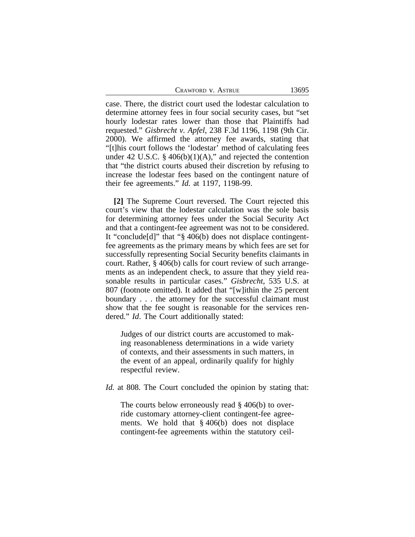CRAWFORD V. ASTRUE 13695

case. There, the district court used the lodestar calculation to determine attorney fees in four social security cases, but "set hourly lodestar rates lower than those that Plaintiffs had requested." *Gisbrecht v. Apfel*, 238 F.3d 1196, 1198 (9th Cir. 2000). We affirmed the attorney fee awards, stating that "[t]his court follows the 'lodestar' method of calculating fees under 42 U.S.C. § 406(b)(1)(A)," and rejected the contention that "the district courts abused their discretion by refusing to increase the lodestar fees based on the contingent nature of their fee agreements." *Id.* at 1197, 1198-99.

**[2]** The Supreme Court reversed. The Court rejected this court's view that the lodestar calculation was the sole basis for determining attorney fees under the Social Security Act and that a contingent-fee agreement was not to be considered. It "conclude[d]" that "§ 406(b) does not displace contingentfee agreements as the primary means by which fees are set for successfully representing Social Security benefits claimants in court. Rather, § 406(b) calls for court review of such arrangements as an independent check, to assure that they yield reasonable results in particular cases." *Gisbrecht*, 535 U.S. at 807 (footnote omitted). It added that "[w]ithin the 25 percent boundary . . . the attorney for the successful claimant must show that the fee sought is reasonable for the services rendered." *Id*. The Court additionally stated:

Judges of our district courts are accustomed to making reasonableness determinations in a wide variety of contexts, and their assessments in such matters, in the event of an appeal, ordinarily qualify for highly respectful review.

*Id.* at 808. The Court concluded the opinion by stating that:

The courts below erroneously read § 406(b) to override customary attorney-client contingent-fee agreements. We hold that § 406(b) does not displace contingent-fee agreements within the statutory ceil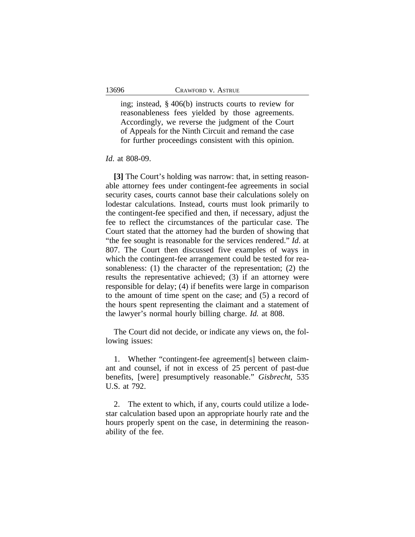ing; instead, § 406(b) instructs courts to review for reasonableness fees yielded by those agreements. Accordingly, we reverse the judgment of the Court of Appeals for the Ninth Circuit and remand the case for further proceedings consistent with this opinion.

*Id*. at 808-09.

**[3]** The Court's holding was narrow: that, in setting reasonable attorney fees under contingent-fee agreements in social security cases, courts cannot base their calculations solely on lodestar calculations. Instead, courts must look primarily to the contingent-fee specified and then, if necessary, adjust the fee to reflect the circumstances of the particular case. The Court stated that the attorney had the burden of showing that "the fee sought is reasonable for the services rendered." *Id*. at 807. The Court then discussed five examples of ways in which the contingent-fee arrangement could be tested for reasonableness: (1) the character of the representation; (2) the results the representative achieved; (3) if an attorney were responsible for delay; (4) if benefits were large in comparison to the amount of time spent on the case; and (5) a record of the hours spent representing the claimant and a statement of the lawyer's normal hourly billing charge. *Id.* at 808.

The Court did not decide, or indicate any views on, the following issues:

1. Whether "contingent-fee agreement[s] between claimant and counsel, if not in excess of 25 percent of past-due benefits, [were] presumptively reasonable." *Gisbrecht*, 535 U.S. at 792.

2. The extent to which, if any, courts could utilize a lodestar calculation based upon an appropriate hourly rate and the hours properly spent on the case, in determining the reasonability of the fee.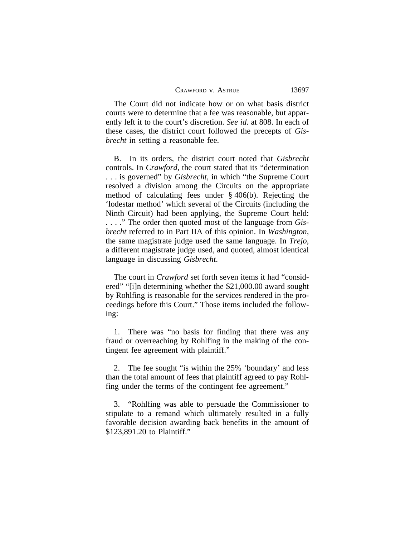| CRAWFORD V. ASTRUE | 13697 |
|--------------------|-------|
|--------------------|-------|

The Court did not indicate how or on what basis district courts were to determine that a fee was reasonable, but apparently left it to the court's discretion. *See id*. at 808. In each of these cases, the district court followed the precepts of *Gisbrecht* in setting a reasonable fee.

B. In its orders, the district court noted that *Gisbrecht* controls. In *Crawford*, the court stated that its "determination . . . is governed" by *Gisbrecht*, in which "the Supreme Court resolved a division among the Circuits on the appropriate method of calculating fees under § 406(b). Rejecting the 'lodestar method' which several of the Circuits (including the Ninth Circuit) had been applying, the Supreme Court held: . . . ." The order then quoted most of the language from *Gisbrecht* referred to in Part IIA of this opinion. In *Washington*, the same magistrate judge used the same language. In *Trejo*, a different magistrate judge used, and quoted, almost identical language in discussing *Gisbrecht*.

The court in *Crawford* set forth seven items it had "considered" "[i]n determining whether the \$21,000.00 award sought by Rohlfing is reasonable for the services rendered in the proceedings before this Court." Those items included the following:

1. There was "no basis for finding that there was any fraud or overreaching by Rohlfing in the making of the contingent fee agreement with plaintiff."

2. The fee sought "is within the 25% 'boundary' and less than the total amount of fees that plaintiff agreed to pay Rohlfing under the terms of the contingent fee agreement."

3. "Rohlfing was able to persuade the Commissioner to stipulate to a remand which ultimately resulted in a fully favorable decision awarding back benefits in the amount of \$123,891.20 to Plaintiff."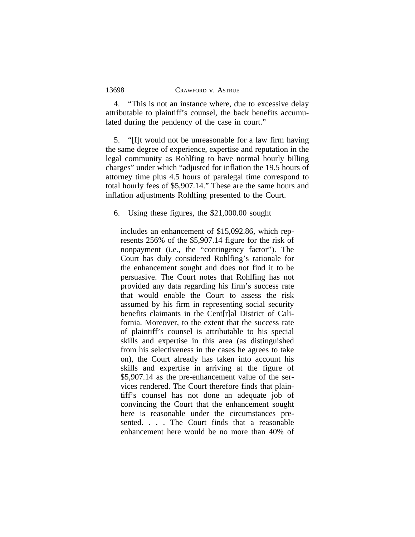13698

4. "This is not an instance where, due to excessive delay attributable to plaintiff's counsel, the back benefits accumulated during the pendency of the case in court."

5. "[I]t would not be unreasonable for a law firm having the same degree of experience, expertise and reputation in the legal community as Rohlfing to have normal hourly billing charges" under which "adjusted for inflation the 19.5 hours of attorney time plus 4.5 hours of paralegal time correspond to total hourly fees of \$5,907.14." These are the same hours and inflation adjustments Rohlfing presented to the Court.

6. Using these figures, the \$21,000.00 sought

includes an enhancement of \$15,092.86, which represents 256% of the \$5,907.14 figure for the risk of nonpayment (i.e., the "contingency factor"). The Court has duly considered Rohlfing's rationale for the enhancement sought and does not find it to be persuasive. The Court notes that Rohlfing has not provided any data regarding his firm's success rate that would enable the Court to assess the risk assumed by his firm in representing social security benefits claimants in the Cent[r]al District of California. Moreover, to the extent that the success rate of plaintiff's counsel is attributable to his special skills and expertise in this area (as distinguished from his selectiveness in the cases he agrees to take on), the Court already has taken into account his skills and expertise in arriving at the figure of \$5,907.14 as the pre-enhancement value of the services rendered. The Court therefore finds that plaintiff's counsel has not done an adequate job of convincing the Court that the enhancement sought here is reasonable under the circumstances presented. . . . The Court finds that a reasonable enhancement here would be no more than 40% of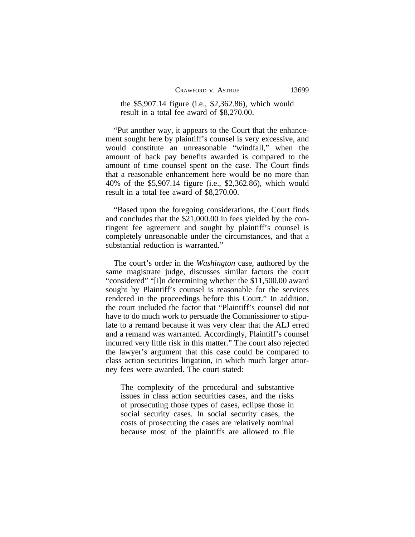| CRAWFORD V. ASTRUE |  |  |  |
|--------------------|--|--|--|
|--------------------|--|--|--|

the \$5,907.14 figure (i.e., \$2,362.86), which would result in a total fee award of \$8,270.00.

"Put another way, it appears to the Court that the enhancement sought here by plaintiff's counsel is very excessive, and would constitute an unreasonable "windfall," when the amount of back pay benefits awarded is compared to the amount of time counsel spent on the case. The Court finds that a reasonable enhancement here would be no more than 40% of the \$5,907.14 figure (i.e., \$2,362.86), which would result in a total fee award of \$8,270.00.

"Based upon the foregoing considerations, the Court finds and concludes that the \$21,000.00 in fees yielded by the contingent fee agreement and sought by plaintiff's counsel is completely unreasonable under the circumstances, and that a substantial reduction is warranted."

The court's order in the *Washington* case, authored by the same magistrate judge, discusses similar factors the court "considered" "[i]n determining whether the \$11,500.00 award sought by Plaintiff's counsel is reasonable for the services rendered in the proceedings before this Court." In addition, the court included the factor that "Plaintiff's counsel did not have to do much work to persuade the Commissioner to stipulate to a remand because it was very clear that the ALJ erred and a remand was warranted. Accordingly, Plaintiff's counsel incurred very little risk in this matter." The court also rejected the lawyer's argument that this case could be compared to class action securities litigation, in which much larger attorney fees were awarded. The court stated:

The complexity of the procedural and substantive issues in class action securities cases, and the risks of prosecuting those types of cases, eclipse those in social security cases. In social security cases, the costs of prosecuting the cases are relatively nominal because most of the plaintiffs are allowed to file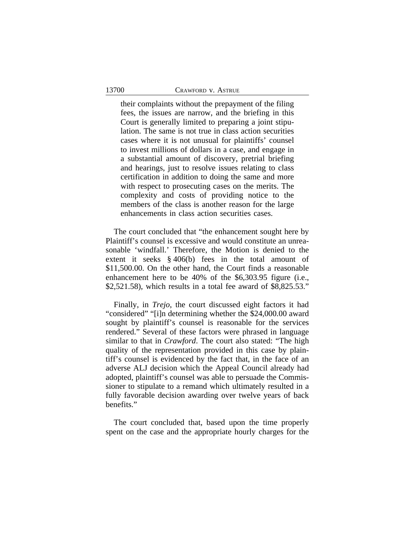their complaints without the prepayment of the filing fees, the issues are narrow, and the briefing in this Court is generally limited to preparing a joint stipulation. The same is not true in class action securities cases where it is not unusual for plaintiffs' counsel to invest millions of dollars in a case, and engage in a substantial amount of discovery, pretrial briefing and hearings, just to resolve issues relating to class certification in addition to doing the same and more with respect to prosecuting cases on the merits. The complexity and costs of providing notice to the members of the class is another reason for the large enhancements in class action securities cases.

The court concluded that "the enhancement sought here by Plaintiff's counsel is excessive and would constitute an unreasonable 'windfall.' Therefore, the Motion is denied to the extent it seeks § 406(b) fees in the total amount of \$11,500.00. On the other hand, the Court finds a reasonable enhancement here to be 40% of the \$6,303.95 figure (i.e., \$2,521.58), which results in a total fee award of \$8,825.53."

Finally, in *Trejo*, the court discussed eight factors it had "considered" "[i]n determining whether the \$24,000.00 award sought by plaintiff's counsel is reasonable for the services rendered." Several of these factors were phrased in language similar to that in *Crawford*. The court also stated: "The high quality of the representation provided in this case by plaintiff's counsel is evidenced by the fact that, in the face of an adverse ALJ decision which the Appeal Council already had adopted, plaintiff's counsel was able to persuade the Commissioner to stipulate to a remand which ultimately resulted in a fully favorable decision awarding over twelve years of back benefits."

The court concluded that, based upon the time properly spent on the case and the appropriate hourly charges for the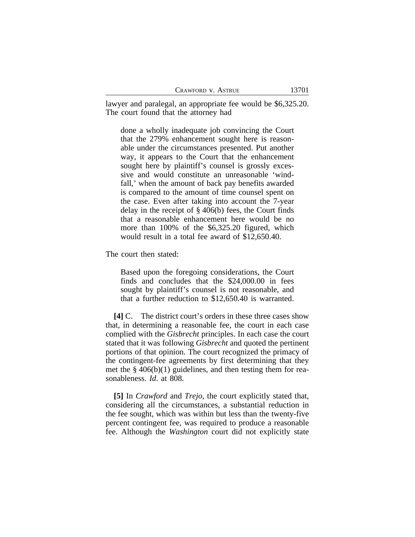| CRAWFORD V. ASTRUE |  |  |
|--------------------|--|--|
|--------------------|--|--|

lawyer and paralegal, an appropriate fee would be \$6,325.20. The court found that the attorney had

done a wholly inadequate job convincing the Court that the 279% enhancement sought here is reasonable under the circumstances presented. Put another way, it appears to the Court that the enhancement sought here by plaintiff's counsel is grossly excessive and would constitute an unreasonable 'windfall,' when the amount of back pay benefits awarded is compared to the amount of time counsel spent on the case. Even after taking into account the 7-year delay in the receipt of § 406(b) fees, the Court finds that a reasonable enhancement here would be no more than 100% of the \$6,325.20 figured, which would result in a total fee award of \$12,650.40.

The court then stated:

Based upon the foregoing considerations, the Court finds and concludes that the \$24,000.00 in fees sought by plaintiff's counsel is not reasonable, and that a further reduction to \$12,650.40 is warranted.

**[4]** C. The district court's orders in these three cases show that, in determining a reasonable fee, the court in each case complied with the *Gisbrecht* principles. In each case the court stated that it was following *Gisbrecht* and quoted the pertinent portions of that opinion. The court recognized the primacy of the contingent-fee agreements by first determining that they met the  $\S$  406(b)(1) guidelines, and then testing them for reasonableness. *Id*. at 808.

**[5]** In *Crawford* and *Trejo*, the court explicitly stated that, considering all the circumstances, a substantial reduction in the fee sought, which was within but less than the twenty-five percent contingent fee, was required to produce a reasonable fee. Although the *Washington* court did not explicitly state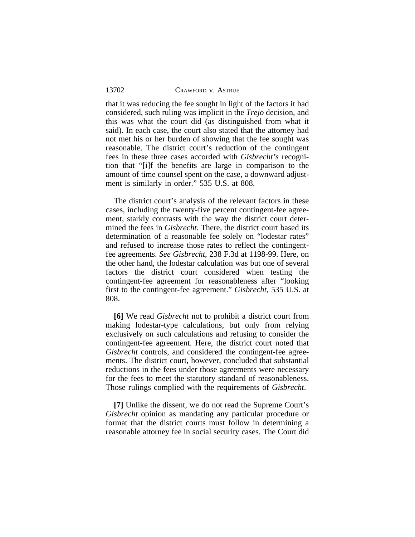that it was reducing the fee sought in light of the factors it had considered, such ruling was implicit in the *Trejo* decision, and this was what the court did (as distinguished from what it said). In each case, the court also stated that the attorney had not met his or her burden of showing that the fee sought was reasonable. The district court's reduction of the contingent fees in these three cases accorded with *Gisbrecht's* recognition that "[i]f the benefits are large in comparison to the amount of time counsel spent on the case, a downward adjustment is similarly in order." 535 U.S. at 808.

The district court's analysis of the relevant factors in these cases, including the twenty-five percent contingent-fee agreement, starkly contrasts with the way the district court determined the fees in *Gisbrecht*. There, the district court based its determination of a reasonable fee solely on "lodestar rates" and refused to increase those rates to reflect the contingentfee agreements. *See Gisbrecht*, 238 F.3d at 1198-99. Here, on the other hand, the lodestar calculation was but one of several factors the district court considered when testing the contingent-fee agreement for reasonableness after "looking first to the contingent-fee agreement." *Gisbrecht*, 535 U.S. at 808.

**[6]** We read *Gisbrecht* not to prohibit a district court from making lodestar-type calculations, but only from relying exclusively on such calculations and refusing to consider the contingent-fee agreement. Here, the district court noted that *Gisbrecht* controls, and considered the contingent-fee agreements. The district court, however, concluded that substantial reductions in the fees under those agreements were necessary for the fees to meet the statutory standard of reasonableness. Those rulings complied with the requirements of *Gisbrecht*.

**[7]** Unlike the dissent, we do not read the Supreme Court's *Gisbrecht* opinion as mandating any particular procedure or format that the district courts must follow in determining a reasonable attorney fee in social security cases. The Court did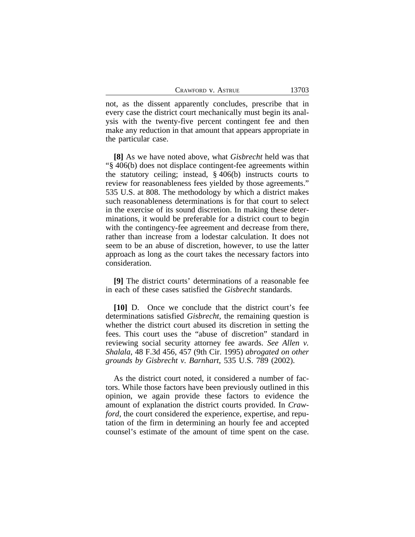not, as the dissent apparently concludes, prescribe that in every case the district court mechanically must begin its analysis with the twenty-five percent contingent fee and then make any reduction in that amount that appears appropriate in the particular case.

**[8]** As we have noted above, what *Gisbrecht* held was that "§ 406(b) does not displace contingent-fee agreements within the statutory ceiling; instead, § 406(b) instructs courts to review for reasonableness fees yielded by those agreements." 535 U.S. at 808. The methodology by which a district makes such reasonableness determinations is for that court to select in the exercise of its sound discretion. In making these determinations, it would be preferable for a district court to begin with the contingency-fee agreement and decrease from there, rather than increase from a lodestar calculation. It does not seem to be an abuse of discretion, however, to use the latter approach as long as the court takes the necessary factors into consideration.

**[9]** The district courts' determinations of a reasonable fee in each of these cases satisfied the *Gisbrecht* standards.

**[10]** D. Once we conclude that the district court's fee determinations satisfied *Gisbrecht*, the remaining question is whether the district court abused its discretion in setting the fees. This court uses the "abuse of discretion" standard in reviewing social security attorney fee awards. *See Allen v. Shalala*, 48 F.3d 456, 457 (9th Cir. 1995) *abrogated on other grounds by Gisbrecht v. Barnhart*, 535 U.S. 789 (2002).

As the district court noted, it considered a number of factors. While those factors have been previously outlined in this opinion, we again provide these factors to evidence the amount of explanation the district courts provided. In *Crawford*, the court considered the experience, expertise, and reputation of the firm in determining an hourly fee and accepted counsel's estimate of the amount of time spent on the case.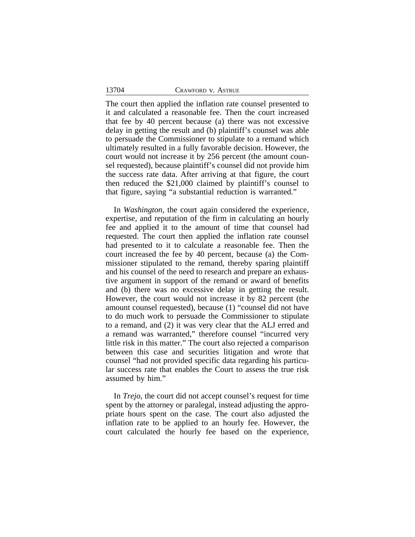#### 13704 CRAWFORD v. ASTRUE

The court then applied the inflation rate counsel presented to it and calculated a reasonable fee. Then the court increased that fee by 40 percent because (a) there was not excessive delay in getting the result and (b) plaintiff's counsel was able to persuade the Commissioner to stipulate to a remand which ultimately resulted in a fully favorable decision. However, the court would not increase it by 256 percent (the amount counsel requested), because plaintiff's counsel did not provide him the success rate data. After arriving at that figure, the court then reduced the \$21,000 claimed by plaintiff's counsel to that figure, saying "a substantial reduction is warranted."

In *Washington*, the court again considered the experience, expertise, and reputation of the firm in calculating an hourly fee and applied it to the amount of time that counsel had requested. The court then applied the inflation rate counsel had presented to it to calculate a reasonable fee. Then the court increased the fee by 40 percent, because (a) the Commissioner stipulated to the remand, thereby sparing plaintiff and his counsel of the need to research and prepare an exhaustive argument in support of the remand or award of benefits and (b) there was no excessive delay in getting the result. However, the court would not increase it by 82 percent (the amount counsel requested), because (1) "counsel did not have to do much work to persuade the Commissioner to stipulate to a remand, and (2) it was very clear that the ALJ erred and a remand was warranted," therefore counsel "incurred very little risk in this matter." The court also rejected a comparison between this case and securities litigation and wrote that counsel "had not provided specific data regarding his particular success rate that enables the Court to assess the true risk assumed by him."

In *Trejo*, the court did not accept counsel's request for time spent by the attorney or paralegal, instead adjusting the appropriate hours spent on the case. The court also adjusted the inflation rate to be applied to an hourly fee. However, the court calculated the hourly fee based on the experience,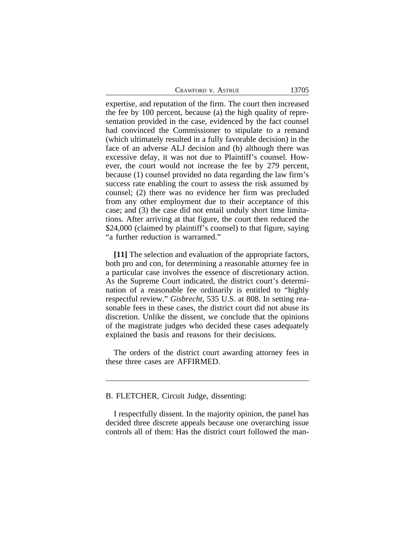| CRAWFORD V. ASTRUE | 13705 |
|--------------------|-------|
|--------------------|-------|

expertise, and reputation of the firm. The court then increased the fee by 100 percent, because (a) the high quality of representation provided in the case, evidenced by the fact counsel had convinced the Commissioner to stipulate to a remand (which ultimately resulted in a fully favorable decision) in the face of an adverse ALJ decision and (b) although there was excessive delay, it was not due to Plaintiff's counsel. However, the court would not increase the fee by 279 percent, because (1) counsel provided no data regarding the law firm's success rate enabling the court to assess the risk assumed by counsel; (2) there was no evidence her firm was precluded from any other employment due to their acceptance of this case; and (3) the case did not entail unduly short time limitations. After arriving at that figure, the court then reduced the \$24,000 (claimed by plaintiff's counsel) to that figure, saying "a further reduction is warranted."

**[11]** The selection and evaluation of the appropriate factors, both pro and con, for determining a reasonable attorney fee in a particular case involves the essence of discretionary action. As the Supreme Court indicated, the district court's determination of a reasonable fee ordinarily is entitled to "highly respectful review." *Gisbrecht*, 535 U.S. at 808. In setting reasonable fees in these cases, the district court did not abuse its discretion. Unlike the dissent, we conclude that the opinions of the magistrate judges who decided these cases adequately explained the basis and reasons for their decisions.

The orders of the district court awarding attorney fees in these three cases are AFFIRMED.

B. FLETCHER, Circuit Judge, dissenting:

I respectfully dissent. In the majority opinion, the panel has decided three discrete appeals because one overarching issue controls all of them: Has the district court followed the man-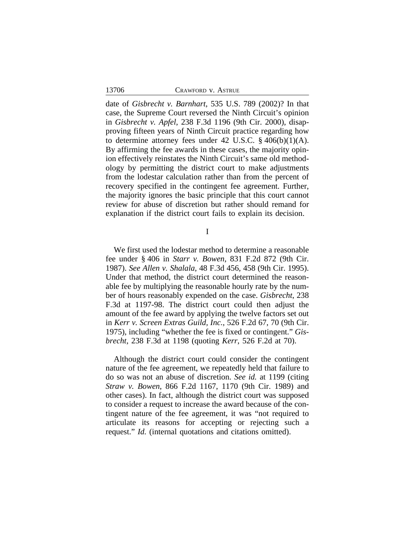| 13706<br>CRAWFORD V. ASTRUE |  |
|-----------------------------|--|
|-----------------------------|--|

date of *Gisbrecht v. Barnhart*, 535 U.S. 789 (2002)? In that case, the Supreme Court reversed the Ninth Circuit's opinion in *Gisbrecht v. Apfel*, 238 F.3d 1196 (9th Cir. 2000), disapproving fifteen years of Ninth Circuit practice regarding how to determine attorney fees under 42 U.S.C.  $\S$  406(b)(1)(A). By affirming the fee awards in these cases, the majority opinion effectively reinstates the Ninth Circuit's same old methodology by permitting the district court to make adjustments from the lodestar calculation rather than from the percent of recovery specified in the contingent fee agreement. Further, the majority ignores the basic principle that this court cannot review for abuse of discretion but rather should remand for explanation if the district court fails to explain its decision.

I

We first used the lodestar method to determine a reasonable fee under § 406 in *Starr v. Bowen*, 831 F.2d 872 (9th Cir. 1987). *See Allen v. Shalala*, 48 F.3d 456, 458 (9th Cir. 1995). Under that method, the district court determined the reasonable fee by multiplying the reasonable hourly rate by the number of hours reasonably expended on the case. *Gisbrecht*, 238 F.3d at 1197-98. The district court could then adjust the amount of the fee award by applying the twelve factors set out in *Kerr v. Screen Extras Guild, Inc.*, 526 F.2d 67, 70 (9th Cir. 1975), including "whether the fee is fixed or contingent." *Gisbrecht*, 238 F.3d at 1198 (quoting *Kerr*, 526 F.2d at 70).

Although the district court could consider the contingent nature of the fee agreement, we repeatedly held that failure to do so was not an abuse of discretion. *See id.* at 1199 (citing *Straw v. Bowen*, 866 F.2d 1167, 1170 (9th Cir. 1989) and other cases). In fact, although the district court was supposed to consider a request to increase the award because of the contingent nature of the fee agreement, it was "not required to articulate its reasons for accepting or rejecting such a request." *Id.* (internal quotations and citations omitted).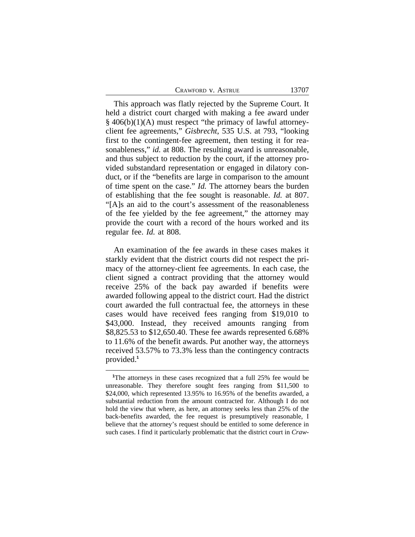| CRAWFORD V. ASTRUE | 13707 |
|--------------------|-------|
|--------------------|-------|

This approach was flatly rejected by the Supreme Court. It held a district court charged with making a fee award under § 406(b)(1)(A) must respect "the primacy of lawful attorneyclient fee agreements," *Gisbrecht*, 535 U.S. at 793, "looking first to the contingent-fee agreement, then testing it for reasonableness," *id.* at 808. The resulting award is unreasonable, and thus subject to reduction by the court, if the attorney provided substandard representation or engaged in dilatory conduct, or if the "benefits are large in comparison to the amount of time spent on the case." *Id.* The attorney bears the burden of establishing that the fee sought is reasonable. *Id.* at 807. "[A]s an aid to the court's assessment of the reasonableness of the fee yielded by the fee agreement," the attorney may provide the court with a record of the hours worked and its regular fee. *Id.* at 808.

An examination of the fee awards in these cases makes it starkly evident that the district courts did not respect the primacy of the attorney-client fee agreements. In each case, the client signed a contract providing that the attorney would receive 25% of the back pay awarded if benefits were awarded following appeal to the district court. Had the district court awarded the full contractual fee, the attorneys in these cases would have received fees ranging from \$19,010 to \$43,000. Instead, they received amounts ranging from \$8,825.53 to \$12,650.40. These fee awards represented 6.68% to 11.6% of the benefit awards. Put another way, the attorneys received 53.57% to 73.3% less than the contingency contracts provided.**<sup>1</sup>**

**<sup>1</sup>**The attorneys in these cases recognized that a full 25% fee would be unreasonable. They therefore sought fees ranging from \$11,500 to \$24,000, which represented 13.95% to 16.95% of the benefits awarded, a substantial reduction from the amount contracted for. Although I do not hold the view that where, as here, an attorney seeks less than 25% of the back-benefits awarded, the fee request is presumptively reasonable, I believe that the attorney's request should be entitled to some deference in such cases. I find it particularly problematic that the district court in *Craw-*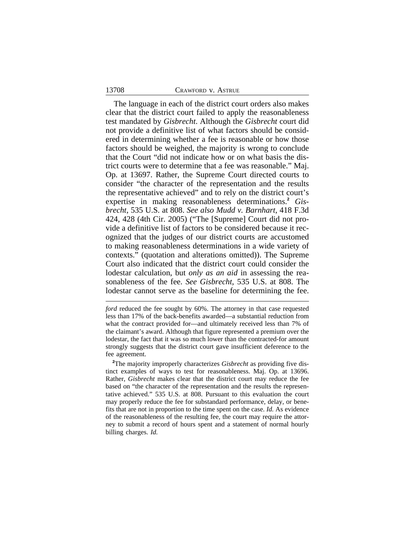#### 13708 CRAWFORD v. ASTRUE

The language in each of the district court orders also makes clear that the district court failed to apply the reasonableness test mandated by *Gisbrecht*. Although the *Gisbrecht* court did not provide a definitive list of what factors should be considered in determining whether a fee is reasonable or how those factors should be weighed, the majority is wrong to conclude that the Court "did not indicate how or on what basis the district courts were to determine that a fee was reasonable." Maj. Op. at 13697. Rather, the Supreme Court directed courts to consider "the character of the representation and the results the representative achieved" and to rely on the district court's expertise in making reasonableness determinations.**<sup>2</sup>** *Gisbrecht*, 535 U.S. at 808. *See also Mudd v. Barnhart*, 418 F.3d 424, 428 (4th Cir. 2005) ("The [Supreme] Court did not provide a definitive list of factors to be considered because it recognized that the judges of our district courts are accustomed to making reasonableness determinations in a wide variety of contexts." (quotation and alterations omitted)). The Supreme Court also indicated that the district court could consider the lodestar calculation, but *only as an aid* in assessing the reasonableness of the fee. *See Gisbrecht*, 535 U.S. at 808. The lodestar cannot serve as the baseline for determining the fee.

*ford* reduced the fee sought by 60%. The attorney in that case requested less than 17% of the back-benefits awarded—a substantial reduction from what the contract provided for—and ultimately received less than 7% of the claimant's award. Although that figure represented a premium over the lodestar, the fact that it was so much lower than the contracted-for amount strongly suggests that the district court gave insufficient deference to the fee agreement.

**<sup>2</sup>**The majority improperly characterizes *Gisbrecht* as providing five distinct examples of ways to test for reasonableness. Maj. Op. at 13696. Rather, *Gisbrecht* makes clear that the district court may reduce the fee based on "the character of the representation and the results the representative achieved." 535 U.S. at 808. Pursuant to this evaluation the court may properly reduce the fee for substandard performance, delay, or benefits that are not in proportion to the time spent on the case. *Id.* As evidence of the reasonableness of the resulting fee, the court may require the attorney to submit a record of hours spent and a statement of normal hourly billing charges. *Id.*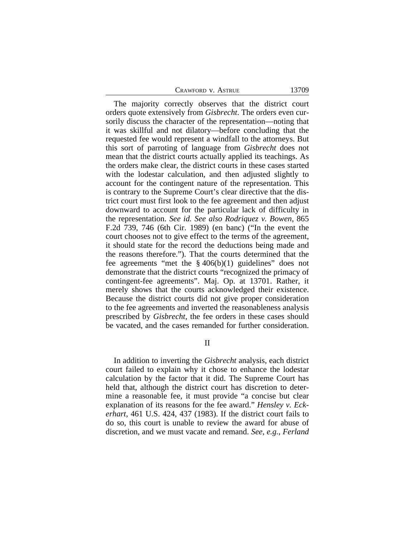CRAWFORD V. ASTRUE 13709

The majority correctly observes that the district court orders quote extensively from *Gisbrecht*. The orders even cursorily discuss the character of the representation—noting that it was skillful and not dilatory—before concluding that the requested fee would represent a windfall to the attorneys. But this sort of parroting of language from *Gisbrecht* does not mean that the district courts actually applied its teachings. As the orders make clear, the district courts in these cases started with the lodestar calculation, and then adjusted slightly to account for the contingent nature of the representation. This is contrary to the Supreme Court's clear directive that the district court must first look to the fee agreement and then adjust downward to account for the particular lack of difficulty in the representation. *See id. See also Rodriquez v. Bowen*, 865 F.2d 739, 746 (6th Cir. 1989) (en banc) ("In the event the court chooses not to give effect to the terms of the agreement, it should state for the record the deductions being made and the reasons therefore."). That the courts determined that the fee agreements "met the  $\S 406(b)(1)$  guidelines" does not demonstrate that the district courts "recognized the primacy of contingent-fee agreements". Maj. Op. at 13701. Rather, it merely shows that the courts acknowledged their existence. Because the district courts did not give proper consideration to the fee agreements and inverted the reasonableness analysis prescribed by *Gisbrecht*, the fee orders in these cases should be vacated, and the cases remanded for further consideration.

II

In addition to inverting the *Gisbrecht* analysis, each district court failed to explain why it chose to enhance the lodestar calculation by the factor that it did. The Supreme Court has held that, although the district court has discretion to determine a reasonable fee, it must provide "a concise but clear explanation of its reasons for the fee award." *Hensley v. Eckerhart*, 461 U.S. 424, 437 (1983). If the district court fails to do so, this court is unable to review the award for abuse of discretion, and we must vacate and remand. *See, e.g.*, *Ferland*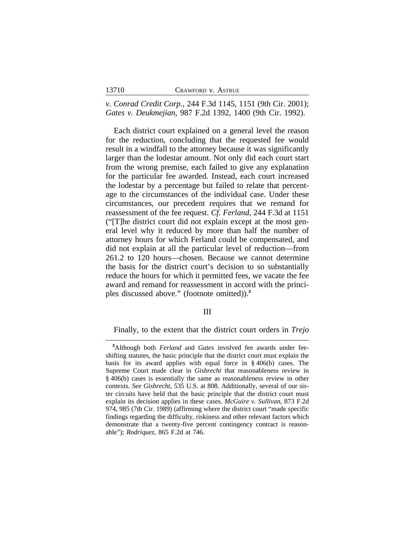*v. Conrad Credit Corp.*, 244 F.3d 1145, 1151 (9th Cir. 2001); *Gates v. Deukmejian*, 987 F.2d 1392, 1400 (9th Cir. 1992).

Each district court explained on a general level the reason for the reduction, concluding that the requested fee would result in a windfall to the attorney because it was significantly larger than the lodestar amount. Not only did each court start from the wrong premise, each failed to give any explanation for the particular fee awarded. Instead, each court increased the lodestar by a percentage but failed to relate that percentage to the circumstances of the individual case. Under these circumstances, our precedent requires that we remand for reassessment of the fee request. *Cf. Ferland*, 244 F.3d at 1151 ("[T]he district court did not explain except at the most general level why it reduced by more than half the number of attorney hours for which Ferland could be compensated, and did not explain at all the particular level of reduction—from 261.2 to 120 hours—chosen. Because we cannot determine the basis for the district court's decision to so substantially reduce the hours for which it permitted fees, we vacate the fee award and remand for reassessment in accord with the principles discussed above." (footnote omitted)).**<sup>3</sup>**

III

Finally, to the extent that the district court orders in *Trejo*

**<sup>3</sup>**Although both *Ferland* and *Gates* involved fee awards under feeshifting statutes, the basic principle that the district court must explain the basis for its award applies with equal force in § 406(b) cases. The Supreme Court made clear in *Gisbrecht* that reasonableness review in § 406(b) cases is essentially the same as reasonableness review in other contexts. *See Gisbrecht*, 535 U.S. at 808. Additionally, several of our sister circuits have held that the basic principle that the district court must explain its decision applies in these cases. *McGuire v. Sullivan*, 873 F.2d 974, 985 (7th Cir. 1989) (affirming where the district court "made specific findings regarding the difficulty, riskiness and other relevant factors which demonstrate that a twenty-five percent contingency contract is reasonable"); *Rodriquez*, 865 F.2d at 746.